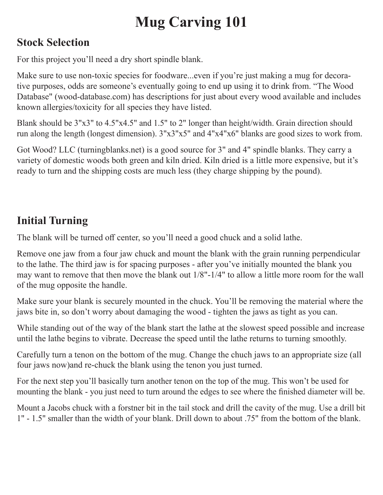# **Mug Carving 101**

### **Stock Selection**

For this project you'll need a dry short spindle blank.

Make sure to use non-toxic species for foodware...even if you're just making a mug for decorative purposes, odds are someone's eventually going to end up using it to drink from. "The Wood Database" (wood-database.com) has descriptions for just about every wood available and includes known allergies/toxicity for all species they have listed.

Blank should be 3"x3" to 4.5"x4.5" and 1.5" to 2" longer than height/width. Grain direction should run along the length (longest dimension). 3"x3"x5" and 4"x4"x6" blanks are good sizes to work from.

Got Wood? LLC (turningblanks.net) is a good source for 3" and 4" spindle blanks. They carry a variety of domestic woods both green and kiln dried. Kiln dried is a little more expensive, but it's ready to turn and the shipping costs are much less (they charge shipping by the pound).

# **Initial Turning**

The blank will be turned off center, so you'll need a good chuck and a solid lathe.

Remove one jaw from a four jaw chuck and mount the blank with the grain running perpendicular to the lathe. The third jaw is for spacing purposes - after you've initially mounted the blank you may want to remove that then move the blank out 1/8"-1/4" to allow a little more room for the wall of the mug opposite the handle.

Make sure your blank is securely mounted in the chuck. You'll be removing the material where the jaws bite in, so don't worry about damaging the wood - tighten the jaws as tight as you can.

While standing out of the way of the blank start the lathe at the slowest speed possible and increase until the lathe begins to vibrate. Decrease the speed until the lathe returns to turning smoothly.

Carefully turn a tenon on the bottom of the mug. Change the chuch jaws to an appropriate size (all four jaws now)and re-chuck the blank using the tenon you just turned.

For the next step you'll basically turn another tenon on the top of the mug. This won't be used for mounting the blank - you just need to turn around the edges to see where the finished diameter will be.

Mount a Jacobs chuck with a forstner bit in the tail stock and drill the cavity of the mug. Use a drill bit 1" - 1.5" smaller than the width of your blank. Drill down to about .75" from the bottom of the blank.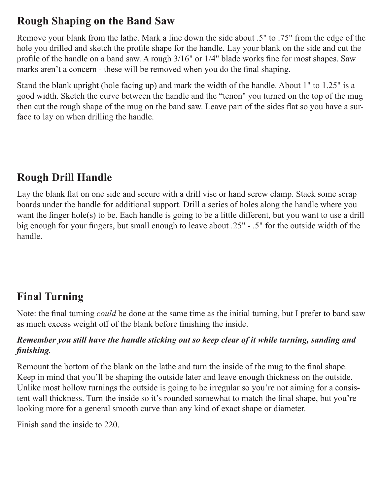### **Rough Shaping on the Band Saw**

Remove your blank from the lathe. Mark a line down the side about .5" to .75" from the edge of the hole you drilled and sketch the profile shape for the handle. Lay your blank on the side and cut the profile of the handle on a band saw. A rough 3/16" or 1/4" blade works fine for most shapes. Saw marks aren't a concern - these will be removed when you do the final shaping.

Stand the blank upright (hole facing up) and mark the width of the handle. About 1" to 1.25" is a good width. Sketch the curve between the handle and the "tenon" you turned on the top of the mug then cut the rough shape of the mug on the band saw. Leave part of the sides flat so you have a surface to lay on when drilling the handle.

# **Rough Drill Handle**

Lay the blank flat on one side and secure with a drill vise or hand screw clamp. Stack some scrap boards under the handle for additional support. Drill a series of holes along the handle where you want the finger hole(s) to be. Each handle is going to be a little different, but you want to use a drill big enough for your fingers, but small enough to leave about .25" - .5" for the outside width of the handle.

# **Final Turning**

Note: the final turning *could* be done at the same time as the initial turning, but I prefer to band saw as much excess weight off of the blank before finishing the inside.

#### *Remember you still have the handle sticking out so keep clear of it while turning, sanding and finishing.*

Remount the bottom of the blank on the lathe and turn the inside of the mug to the final shape. Keep in mind that you'll be shaping the outside later and leave enough thickness on the outside. Unlike most hollow turnings the outside is going to be irregular so you're not aiming for a consistent wall thickness. Turn the inside so it's rounded somewhat to match the final shape, but you're looking more for a general smooth curve than any kind of exact shape or diameter.

Finish sand the inside to 220.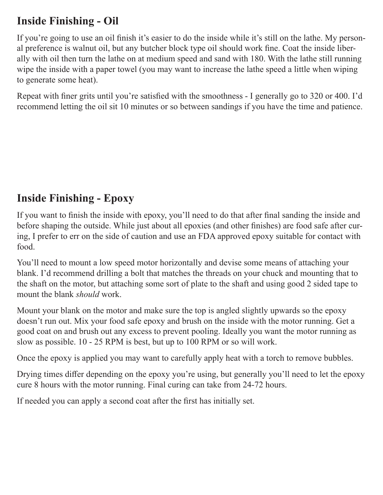### **Inside Finishing - Oil**

If you're going to use an oil finish it's easier to do the inside while it's still on the lathe. My personal preference is walnut oil, but any butcher block type oil should work fine. Coat the inside liberally with oil then turn the lathe on at medium speed and sand with 180. With the lathe still running wipe the inside with a paper towel (you may want to increase the lathe speed a little when wiping to generate some heat).

Repeat with finer grits until you're satisfied with the smoothness - I generally go to 320 or 400. I'd recommend letting the oil sit 10 minutes or so between sandings if you have the time and patience.

### **Inside Finishing - Epoxy**

If you want to finish the inside with epoxy, you'll need to do that after final sanding the inside and before shaping the outside. While just about all epoxies (and other finishes) are food safe after curing, I prefer to err on the side of caution and use an FDA approved epoxy suitable for contact with food.

You'll need to mount a low speed motor horizontally and devise some means of attaching your blank. I'd recommend drilling a bolt that matches the threads on your chuck and mounting that to the shaft on the motor, but attaching some sort of plate to the shaft and using good 2 sided tape to mount the blank *should* work.

Mount your blank on the motor and make sure the top is angled slightly upwards so the epoxy doesn't run out. Mix your food safe epoxy and brush on the inside with the motor running. Get a good coat on and brush out any excess to prevent pooling. Ideally you want the motor running as slow as possible. 10 - 25 RPM is best, but up to 100 RPM or so will work.

Once the epoxy is applied you may want to carefully apply heat with a torch to remove bubbles.

Drying times differ depending on the epoxy you're using, but generally you'll need to let the epoxy cure 8 hours with the motor running. Final curing can take from 24-72 hours.

If needed you can apply a second coat after the first has initially set.